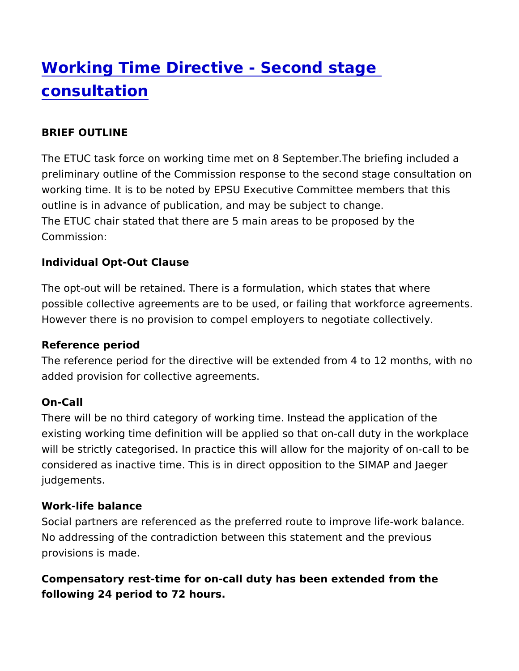# [Working Time Directive - Secon](https://www.epsu.org/article/working-time-directive-second-stage-consultation)d stage [consultati](https://www.epsu.org/article/working-time-directive-second-stage-consultation)on

#### BRIEF OUTLINE

The ETUC task force on working time met on 8 September. The bri preliminary outline of the Commission response to the second sta working time. It is to be noted by EPSU Executive Committee mem outline is in advance of publication, and may be subject to chang The ETUC chair stated that there are 5 main areas to be proposed Commission:

Individual Opt-Out Clause

The opt-out will be retained. There is a formulation, which states possible collective agreements are to be used, or failing that wor However there is no provision to compel employers to negotiate c

Reference period

The reference period for the directive will be extended from a4 to added provision for collective agreements.

## On-Call

There will be no third category of working time. Instead the appli existing working time definition will be applied so that on-call du will be strictly categorised. In practice this will allow for the maj considered as inactive time. This is in direct opposition to the SI judgements.

#### Work-life balance

Social partners are referenced as the preferred route to improve No addressing of the contradiction between this statement and th provisions is made.

Compensatory rest-time for on-call duty has been extended from t following 24 period to 72 hours.